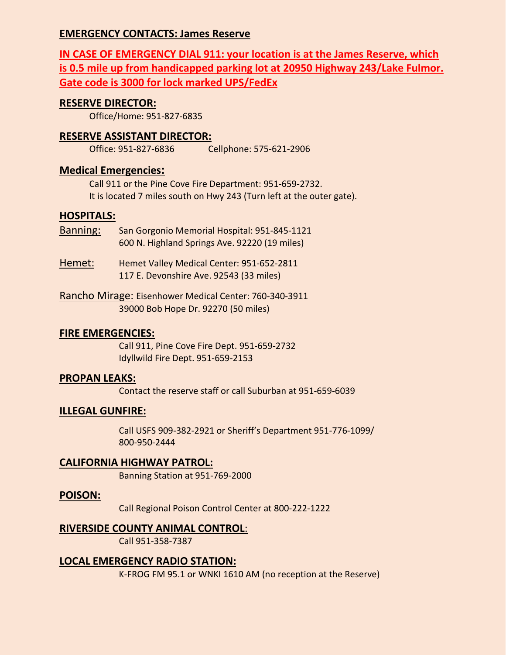#### **EMERGENCY CONTACTS: James Reserve**

**IN CASE OF EMERGENCY DIAL 911: your location is at the James Reserve, which is 0.5 mile up from handicapped parking lot at 20950 Highway 243/Lake Fulmor. Gate code is 3000 for lock marked UPS/FedEx**

#### **RESERVE DIRECTOR:**

Office/Home: 951-827-6835

#### **RESERVE ASSISTANT DIRECTOR:**

Office: 951-827-6836 Cellphone: 575-621-2906

#### **Medical Emergencies:**

Call 911 or the Pine Cove Fire Department: 951-659-2732. It is located 7 miles south on Hwy 243 (Turn left at the outer gate).

#### **HOSPITALS:**

- Banning: San Gorgonio Memorial Hospital: 951-845-1121 600 N. Highland Springs Ave. 92220 (19 miles)
- Hemet: Hemet Valley Medical Center: 951-652-2811 117 E. Devonshire Ave. 92543 (33 miles)
- Rancho Mirage: Eisenhower Medical Center: 760-340-3911 39000 Bob Hope Dr. 92270 (50 miles)

#### **FIRE EMERGENCIES:**

Call 911, Pine Cove Fire Dept. 951-659-2732 Idyllwild Fire Dept. 951-659-2153

#### **PROPAN LEAKS:**

Contact the reserve staff or call Suburban at 951-659-6039

#### **ILLEGAL GUNFIRE:**

Call USFS 909-382-2921 or Sheriff's Department 951-776-1099/ 800-950-2444

#### **CALIFORNIA HIGHWAY PATROL:**

Banning Station at 951-769-2000

#### **POISON:**

Call Regional Poison Control Center at 800-222-1222

#### **RIVERSIDE COUNTY ANIMAL CONTROL**:

Call 951-358-7387

#### **LOCAL EMERGENCY RADIO STATION:**

K-FROG FM 95.1 or WNKI 1610 AM (no reception at the Reserve)